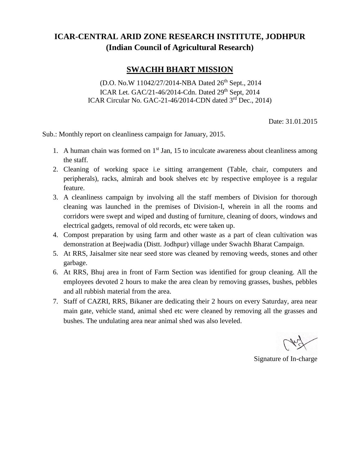## **ICAR-CENTRAL ARID ZONE RESEARCH INSTITUTE, JODHPUR (Indian Council of Agricultural Research)**

## **SWACHH BHART MISSION**

(D.O. No.W 11042/27/2014-NBA Dated 26<sup>th</sup> Sept., 2014) ICAR Let. GAC/21-46/2014-Cdn. Dated 29<sup>th</sup> Sept, 2014 ICAR Circular No. GAC-21-46/2014-CDN dated 3rd Dec., 2014)

Date: 31.01.2015

Sub.: Monthly report on cleanliness campaign for January, 2015.

- 1. A human chain was formed on  $1<sup>st</sup>$  Jan, 15 to inculcate awareness about cleanliness among the staff.
- 2. Cleaning of working space i.e sitting arrangement (Table, chair, computers and peripherals), racks, almirah and book shelves etc by respective employee is a regular feature.
- 3. A cleanliness campaign by involving all the staff members of Division for thorough cleaning was launched in the premises of Division-I, wherein in all the rooms and corridors were swept and wiped and dusting of furniture, cleaning of doors, windows and electrical gadgets, removal of old records, etc were taken up.
- 4. Compost preparation by using farm and other waste as a part of clean cultivation was demonstration at Beejwadia (Distt. Jodhpur) village under Swachh Bharat Campaign.
- 5. At RRS, Jaisalmer site near seed store was cleaned by removing weeds, stones and other garbage.
- 6. At RRS, Bhuj area in front of Farm Section was identified for group cleaning. All the employees devoted 2 hours to make the area clean by removing grasses, bushes, pebbles and all rubbish material from the area.
- 7. Staff of CAZRI, RRS, Bikaner are dedicating their 2 hours on every Saturday, area near main gate, vehicle stand, animal shed etc were cleaned by removing all the grasses and bushes. The undulating area near animal shed was also leveled.

Signature of In-charge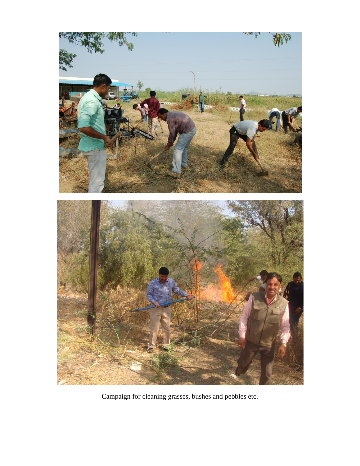

Campaign for cleaning grasses, bushes and pebbles etc.